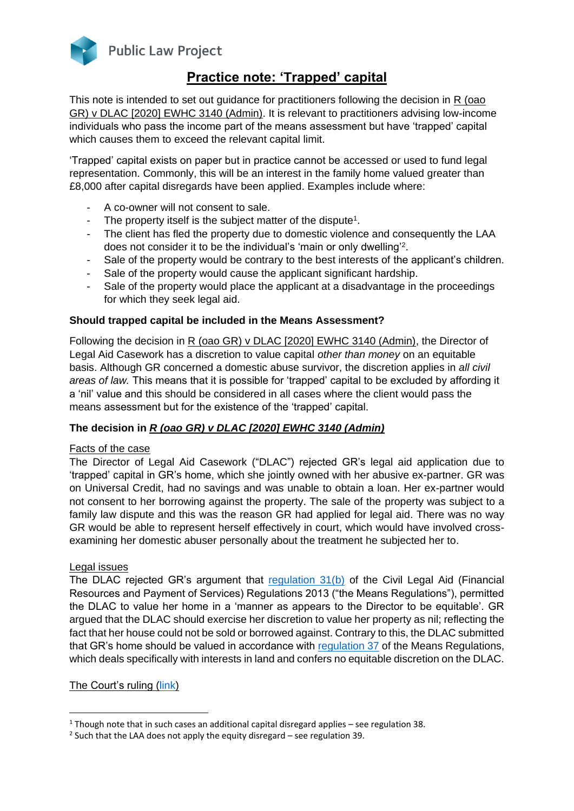

# **Practice note: 'Trapped' capital**

This note is intended to set out guidance for practitioners following the decision in R (oao GR) v DLAC [2020] EWHC 3140 (Admin). It is relevant to practitioners advising low-income individuals who pass the income part of the means assessment but have 'trapped' capital which causes them to exceed the relevant capital limit.

'Trapped' capital exists on paper but in practice cannot be accessed or used to fund legal representation. Commonly, this will be an interest in the family home valued greater than £8,000 after capital disregards have been applied. Examples include where:

- A co-owner will not consent to sale.
- The property itself is the subject matter of the dispute<sup>1</sup>.
- The client has fled the property due to domestic violence and consequently the LAA does not consider it to be the individual's 'main or only dwelling'<sup>2</sup> .
- Sale of the property would be contrary to the best interests of the applicant's children.
- Sale of the property would cause the applicant significant hardship.
- Sale of the property would place the applicant at a disadvantage in the proceedings for which they seek legal aid.

### **Should trapped capital be included in the Means Assessment?**

Following the decision in R (oao GR) v DLAC [2020] EWHC 3140 (Admin), the Director of Legal Aid Casework has a discretion to value capital *other than money* on an equitable basis. Although GR concerned a domestic abuse survivor, the discretion applies in *all civil areas of law.* This means that it is possible for 'trapped' capital to be excluded by affording it a 'nil' value and this should be considered in all cases where the client would pass the means assessment but for the existence of the 'trapped' capital.

# **The decision in** *R (oao GR) v DLAC [2020] EWHC 3140 (Admin)*

#### Facts of the case

The Director of Legal Aid Casework ("DLAC") rejected GR's legal aid application due to 'trapped' capital in GR's home, which she jointly owned with her abusive ex-partner. GR was on Universal Credit, had no savings and was unable to obtain a loan. Her ex-partner would not consent to her borrowing against the property. The sale of the property was subject to a family law dispute and this was the reason GR had applied for legal aid. There was no way GR would be able to represent herself effectively in court, which would have involved crossexamining her domestic abuser personally about the treatment he subjected her to.

#### Legal issues

**.** 

The DLAC rejected GR's argument that [regulation 31\(](https://www.legislation.gov.uk/uksi/2013/480/regulation/31/made)b) of the Civil Legal Aid (Financial Resources and Payment of Services) Regulations 2013 ("the Means Regulations"), permitted the DLAC to value her home in a 'manner as appears to the Director to be equitable'. GR argued that the DLAC should exercise her discretion to value her property as nil; reflecting the fact that her house could not be sold or borrowed against. Contrary to this, the DLAC submitted that GR's home should be valued in accordance with [regulation 37](https://www.legislation.gov.uk/uksi/2013/480/regulation/37/made) of the Means Regulations, which deals specifically with interests in land and confers no equitable discretion on the DLAC.

The Court's ruling [\(link\)](https://www.bailii.org/ew/cases/EWHC/Admin/2020/3140.html)

<sup>&</sup>lt;sup>1</sup> Though note that in such cases an additional capital disregard applies – see regulation 38.

 $2$  Such that the LAA does not apply the equity disregard – see regulation 39.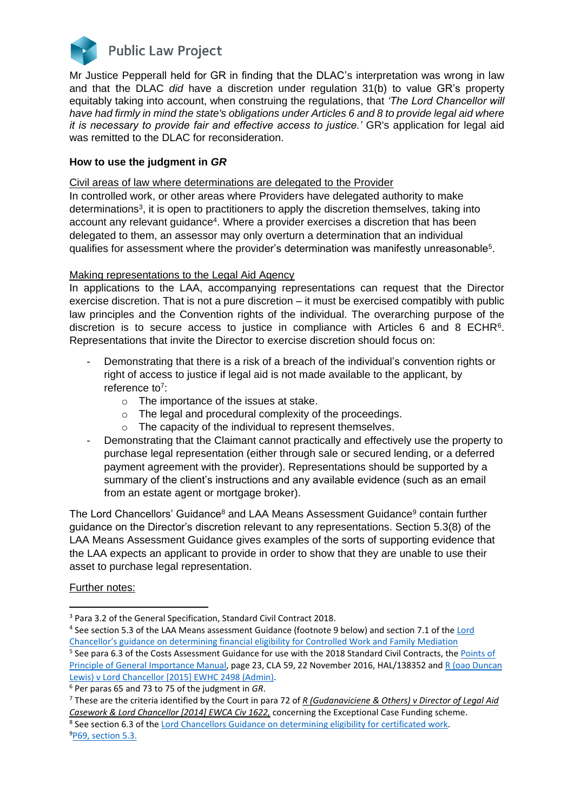

Mr Justice Pepperall held for GR in finding that the DLAC's interpretation was wrong in law and that the DLAC *did* have a discretion under regulation 31(b) to value GR's property equitably taking into account, when construing the regulations, that *'The Lord Chancellor will have had firmly in mind the state's obligations under Articles 6 and 8 to provide legal aid where it is necessary to provide fair and effective access to justice.'* GR's application for legal aid was remitted to the DLAC for reconsideration.

## **How to use the judgment in** *GR*

Civil areas of law where determinations are delegated to the Provider

In controlled work, or other areas where Providers have delegated authority to make determinations<sup>3</sup>, it is open to practitioners to apply the discretion themselves, taking into account any relevant guidance<sup>4</sup>. Where a provider exercises a discretion that has been delegated to them, an assessor may only overturn a determination that an individual qualifies for assessment where the provider's determination was manifestly unreasonable<sup>5</sup>.

### Making representations to the Legal Aid Agency

In applications to the LAA, accompanying representations can request that the Director exercise discretion. That is not a pure discretion – it must be exercised compatibly with public law principles and the Convention rights of the individual. The overarching purpose of the discretion is to secure access to justice in compliance with Articles 6 and 8 ECHR $6$ . Representations that invite the Director to exercise discretion should focus on:

- Demonstrating that there is a risk of a breach of the individual's convention rights or right of access to justice if legal aid is not made available to the applicant, by reference to<sup>7</sup>:
	- o The importance of the issues at stake.
	- o The legal and procedural complexity of the proceedings.
	- o The capacity of the individual to represent themselves.
- Demonstrating that the Claimant cannot practically and effectively use the property to purchase legal representation (either through sale or secured lending, or a deferred payment agreement with the provider). Representations should be supported by a summary of the client's instructions and any available evidence (such as an email from an estate agent or mortgage broker).

The Lord Chancellors' Guidance<sup>8</sup> and LAA Means Assessment Guidance<sup>9</sup> contain further guidance on the Director's discretion relevant to any representations. Section 5.3(8) of the LAA Means Assessment Guidance gives examples of the sorts of supporting evidence that the LAA expects an applicant to provide in order to show that they are unable to use their asset to purchase legal representation.

#### Further notes:

**.** 

<sup>4</sup> See section 5.3 of the LAA Means assessment Guidance (footnote 9 below) and section 7.1 of the Lord [Chancellor's guidance on determining financial eligibility for Controlled Work and Family](https://assets.publishing.service.gov.uk/government/uploads/system/uploads/attachment_data/file/957563/Lord_Chancellor_s_guidance_on_determining_controlled_work__and_family_mediation.pdf)) Mediation <sup>5</sup> See para 6.3 of the Costs Assessment Guidance for use with the 2018 Standard Civil Contracts, the Points of [Principle of General Importance Manual,](https://assets.publishing.service.gov.uk/government/uploads/system/uploads/attachment_data/file/593014/pop-manual.pdf.) page 23, CLA 59, 22 November 2016, HAL/138352 and R (oao Duncan [Lewis\) v Lord Chancellor \[2015\] EWHC 2498 \(Admin\).](https://www.bailii.org/ew/cases/EWHC/Admin/2015/2498.html)

<sup>7</sup> These are the criteria identified by the Court in para 72 of *R (Gudanaviciene & Others) v Director of Legal Aid Casework & Lord Chancellor [2014] EWCA Civ 1622,* concerning the Exceptional Case Funding scheme. <sup>8</sup> See section 6.3 of th[e Lord Chancellors Guidance on determining eligibility for certificated work.](https://assets.publishing.service.gov.uk/government/uploads/system/uploads/attachment_data/file/957564/Lord_Chancellor_s_guidance_on_determining_certificated_work_.pdf)) 9[P69, section 5.3.](https://assets.publishing.service.gov.uk/government/uploads/system/uploads/attachment_data/file/958995/Means_Assessment_Guidance.pdf)

<sup>3</sup> Para 3.2 of the General Specification, Standard Civil Contract 2018.

<sup>6</sup> Per paras 65 and 73 to 75 of the judgment in *GR*.